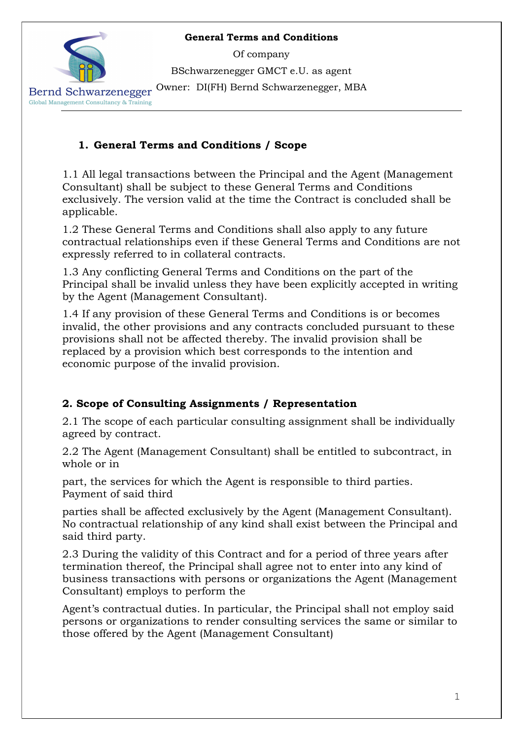Of company

BSchwarzenegger GMCT e.U. as agent

Owner: DI(FH) Bernd Schwarzenegger, MBA



Bernd Schwarzenegger Global Management Consultancy & Training

## 1. General Terms and Conditions / Scope

1.1 All legal transactions between the Principal and the Agent (Management Consultant) shall be subject to these General Terms and Conditions exclusively. The version valid at the time the Contract is concluded shall be applicable.

1.2 These General Terms and Conditions shall also apply to any future contractual relationships even if these General Terms and Conditions are not expressly referred to in collateral contracts.

1.3 Any conflicting General Terms and Conditions on the part of the Principal shall be invalid unless they have been explicitly accepted in writing by the Agent (Management Consultant).

1.4 If any provision of these General Terms and Conditions is or becomes invalid, the other provisions and any contracts concluded pursuant to these provisions shall not be affected thereby. The invalid provision shall be replaced by a provision which best corresponds to the intention and economic purpose of the invalid provision.

# 2. Scope of Consulting Assignments / Representation

2.1 The scope of each particular consulting assignment shall be individually agreed by contract.

2.2 The Agent (Management Consultant) shall be entitled to subcontract, in whole or in

part, the services for which the Agent is responsible to third parties. Payment of said third

parties shall be affected exclusively by the Agent (Management Consultant). No contractual relationship of any kind shall exist between the Principal and said third party.

2.3 During the validity of this Contract and for a period of three years after termination thereof, the Principal shall agree not to enter into any kind of business transactions with persons or organizations the Agent (Management Consultant) employs to perform the

Agent's contractual duties. In particular, the Principal shall not employ said persons or organizations to render consulting services the same or similar to those offered by the Agent (Management Consultant)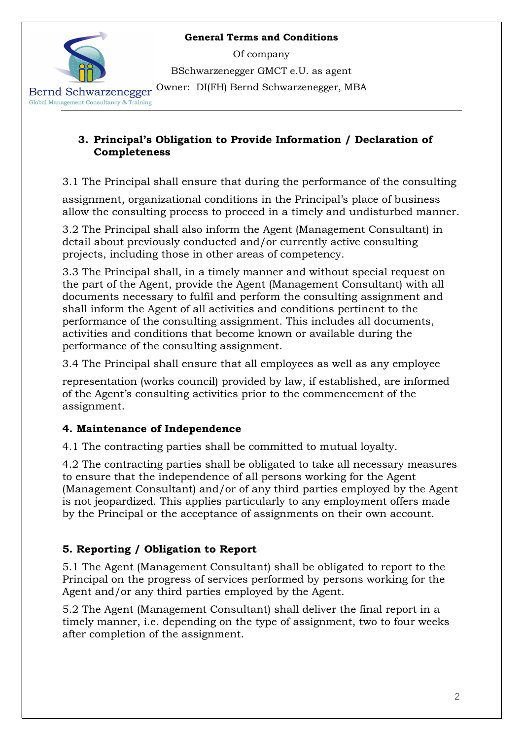Of company

BSchwarzenegger GMCT e.U. as agent

Owner: DI(FH) Bernd Schwarzenegger, MBA

Bernd Schwarzenegger Global Management Consultancy & Training

#### 3. Principal's Obligation to Provide Information / Declaration of Completeness

3.1 The Principal shall ensure that during the performance of the consulting

assignment, organizational conditions in the Principal's place of business allow the consulting process to proceed in a timely and undisturbed manner.

3.2 The Principal shall also inform the Agent (Management Consultant) in detail about previously conducted and/or currently active consulting projects, including those in other areas of competency.

3.3 The Principal shall, in a timely manner and without special request on the part of the Agent, provide the Agent (Management Consultant) with all documents necessary to fulfil and perform the consulting assignment and shall inform the Agent of all activities and conditions pertinent to the performance of the consulting assignment. This includes all documents, activities and conditions that become known or available during the performance of the consulting assignment.

3.4 The Principal shall ensure that all employees as well as any employee

representation (works council) provided by law, if established, are informed of the Agent's consulting activities prior to the commencement of the assignment.

### 4. Maintenance of Independence

4.1 The contracting parties shall be committed to mutual loyalty.

4.2 The contracting parties shall be obligated to take all necessary measures to ensure that the independence of all persons working for the Agent (Management Consultant) and/or of any third parties employed by the Agent is not jeopardized. This applies particularly to any employment offers made by the Principal or the acceptance of assignments on their own account.

# 5. Reporting / Obligation to Report

5.1 The Agent (Management Consultant) shall be obligated to report to the Principal on the progress of services performed by persons working for the Agent and/or any third parties employed by the Agent.

5.2 The Agent (Management Consultant) shall deliver the final report in a timely manner, i.e. depending on the type of assignment, two to four weeks after completion of the assignment.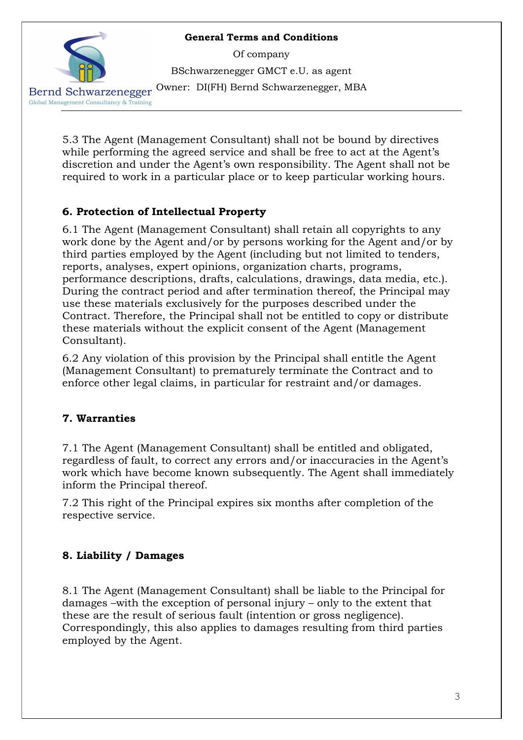Of company

BSchwarzenegger GMCT e.U. as agent

Owner: DI(FH) Bernd Schwarzenegger, MBA

Bernd Schwarzenegger Global Management Consultancy & Training

> 5.3 The Agent (Management Consultant) shall not be bound by directives while performing the agreed service and shall be free to act at the Agent's discretion and under the Agent's own responsibility. The Agent shall not be required to work in a particular place or to keep particular working hours.

## 6. Protection of Intellectual Property

6.1 The Agent (Management Consultant) shall retain all copyrights to any work done by the Agent and/or by persons working for the Agent and/or by third parties employed by the Agent (including but not limited to tenders, reports, analyses, expert opinions, organization charts, programs, performance descriptions, drafts, calculations, drawings, data media, etc.). During the contract period and after termination thereof, the Principal may use these materials exclusively for the purposes described under the Contract. Therefore, the Principal shall not be entitled to copy or distribute these materials without the explicit consent of the Agent (Management Consultant).

6.2 Any violation of this provision by the Principal shall entitle the Agent (Management Consultant) to prematurely terminate the Contract and to enforce other legal claims, in particular for restraint and/or damages.

# 7. Warranties

7.1 The Agent (Management Consultant) shall be entitled and obligated, regardless of fault, to correct any errors and/or inaccuracies in the Agent's work which have become known subsequently. The Agent shall immediately inform the Principal thereof.

7.2 This right of the Principal expires six months after completion of the respective service.

# 8. Liability / Damages

8.1 The Agent (Management Consultant) shall be liable to the Principal for damages –with the exception of personal injury – only to the extent that these are the result of serious fault (intention or gross negligence). Correspondingly, this also applies to damages resulting from third parties employed by the Agent.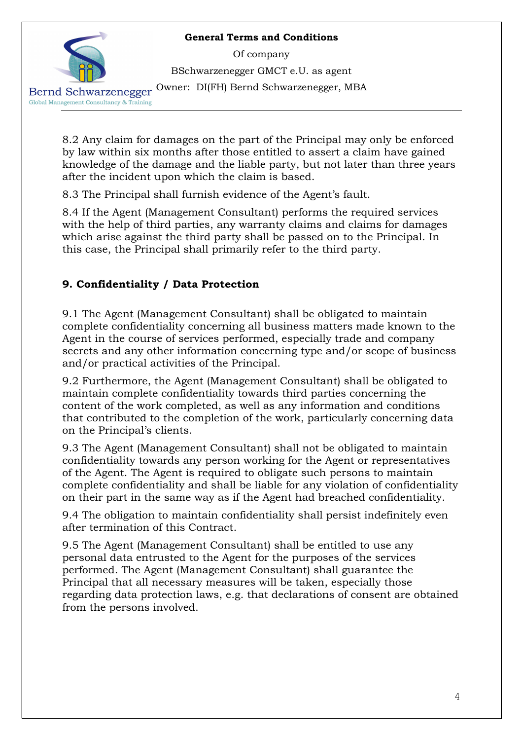Of company

BSchwarzenegger GMCT e.U. as agent

Owner: DI(FH) Bernd Schwarzenegger, MBA

Bernd Schwarzenegger Global Management Consultancy & Training

> 8.2 Any claim for damages on the part of the Principal may only be enforced by law within six months after those entitled to assert a claim have gained knowledge of the damage and the liable party, but not later than three years after the incident upon which the claim is based.

8.3 The Principal shall furnish evidence of the Agent's fault.

8.4 If the Agent (Management Consultant) performs the required services with the help of third parties, any warranty claims and claims for damages which arise against the third party shall be passed on to the Principal. In this case, the Principal shall primarily refer to the third party.

# 9. Confidentiality / Data Protection

9.1 The Agent (Management Consultant) shall be obligated to maintain complete confidentiality concerning all business matters made known to the Agent in the course of services performed, especially trade and company secrets and any other information concerning type and/or scope of business and/or practical activities of the Principal.

9.2 Furthermore, the Agent (Management Consultant) shall be obligated to maintain complete confidentiality towards third parties concerning the content of the work completed, as well as any information and conditions that contributed to the completion of the work, particularly concerning data on the Principal's clients.

9.3 The Agent (Management Consultant) shall not be obligated to maintain confidentiality towards any person working for the Agent or representatives of the Agent. The Agent is required to obligate such persons to maintain complete confidentiality and shall be liable for any violation of confidentiality on their part in the same way as if the Agent had breached confidentiality.

9.4 The obligation to maintain confidentiality shall persist indefinitely even after termination of this Contract.

9.5 The Agent (Management Consultant) shall be entitled to use any personal data entrusted to the Agent for the purposes of the services performed. The Agent (Management Consultant) shall guarantee the Principal that all necessary measures will be taken, especially those regarding data protection laws, e.g. that declarations of consent are obtained from the persons involved.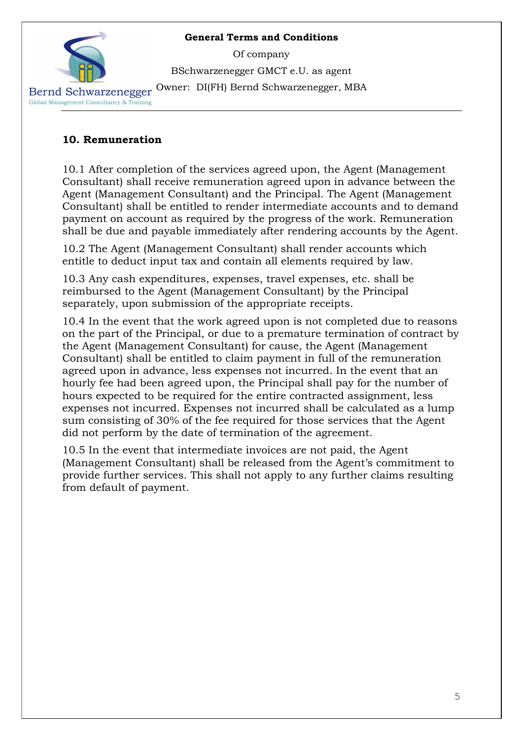Of company

BSchwarzenegger GMCT e.U. as agent

Owner: DI(FH) Bernd Schwarzenegger, MBA

Bernd Schwarzenegger Global Management Consultancy & Training

### 10. Remuneration

10.1 After completion of the services agreed upon, the Agent (Management Consultant) shall receive remuneration agreed upon in advance between the Agent (Management Consultant) and the Principal. The Agent (Management Consultant) shall be entitled to render intermediate accounts and to demand payment on account as required by the progress of the work. Remuneration shall be due and payable immediately after rendering accounts by the Agent.

10.2 The Agent (Management Consultant) shall render accounts which entitle to deduct input tax and contain all elements required by law.

10.3 Any cash expenditures, expenses, travel expenses, etc. shall be reimbursed to the Agent (Management Consultant) by the Principal separately, upon submission of the appropriate receipts.

10.4 In the event that the work agreed upon is not completed due to reasons on the part of the Principal, or due to a premature termination of contract by the Agent (Management Consultant) for cause, the Agent (Management Consultant) shall be entitled to claim payment in full of the remuneration agreed upon in advance, less expenses not incurred. In the event that an hourly fee had been agreed upon, the Principal shall pay for the number of hours expected to be required for the entire contracted assignment, less expenses not incurred. Expenses not incurred shall be calculated as a lump sum consisting of 30% of the fee required for those services that the Agent did not perform by the date of termination of the agreement.

10.5 In the event that intermediate invoices are not paid, the Agent (Management Consultant) shall be released from the Agent's commitment to provide further services. This shall not apply to any further claims resulting from default of payment.